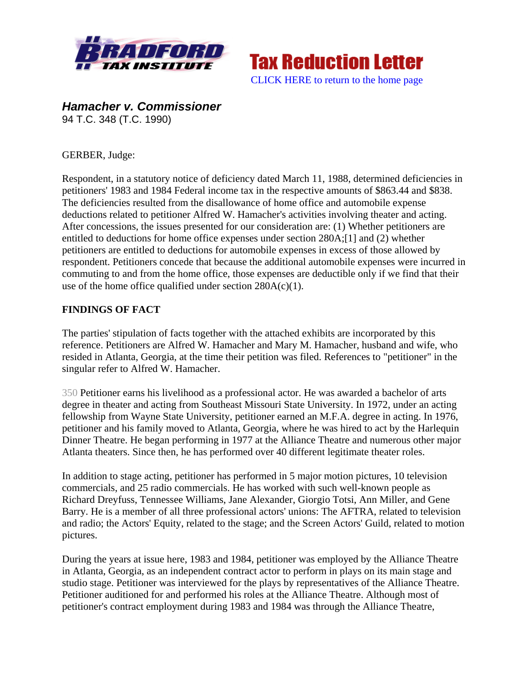



*Hamacher v. Commissioner*  94 T.C. 348 (T.C. 1990)

## GERBER, Judge:

Respondent, in a statutory notice of deficiency dated March 11, 1988, determined deficiencies in petitioners' 1983 and 1984 Federal income tax in the respective amounts of \$863.44 and \$838. The deficiencies resulted from the disallowance of home office and automobile expense deductions related to petitioner Alfred W. Hamacher's activities involving theater and acting. After concessions, the issues presented for our consideration are: (1) Whether petitioners are entitled to deductions for home office expenses under section 280A;[1] and (2) whether petitioners are entitled to deductions for automobile expenses in excess of those allowed by respondent. Petitioners concede that because the additional automobile expenses were incurred in commuting to and from the home office, those expenses are deductible only if we find that their use of the home office qualified under section  $280A(c)(1)$ .

## **FINDINGS OF FACT**

The parties' stipulation of facts together with the attached exhibits are incorporated by this reference. Petitioners are Alfred W. Hamacher and Mary M. Hamacher, husband and wife, who resided in Atlanta, Georgia, at the time their petition was filed. References to "petitioner" in the singular refer to Alfred W. Hamacher.

350 Petitioner earns his livelihood as a professional actor. He was awarded a bachelor of arts degree in theater and acting from Southeast Missouri State University. In 1972, under an acting fellowship from Wayne State University, petitioner earned an M.F.A. degree in acting. In 1976, petitioner and his family moved to Atlanta, Georgia, where he was hired to act by the Harlequin Dinner Theatre. He began performing in 1977 at the Alliance Theatre and numerous other major Atlanta theaters. Since then, he has performed over 40 different legitimate theater roles.

In addition to stage acting, petitioner has performed in 5 major motion pictures, 10 television commercials, and 25 radio commercials. He has worked with such well-known people as Richard Dreyfuss, Tennessee Williams, Jane Alexander, Giorgio Totsi, Ann Miller, and Gene Barry. He is a member of all three professional actors' unions: The AFTRA, related to television and radio; the Actors' Equity, related to the stage; and the Screen Actors' Guild, related to motion pictures.

During the years at issue here, 1983 and 1984, petitioner was employed by the Alliance Theatre in Atlanta, Georgia, as an independent contract actor to perform in plays on its main stage and studio stage. Petitioner was interviewed for the plays by representatives of the Alliance Theatre. Petitioner auditioned for and performed his roles at the Alliance Theatre. Although most of petitioner's contract employment during 1983 and 1984 was through the Alliance Theatre,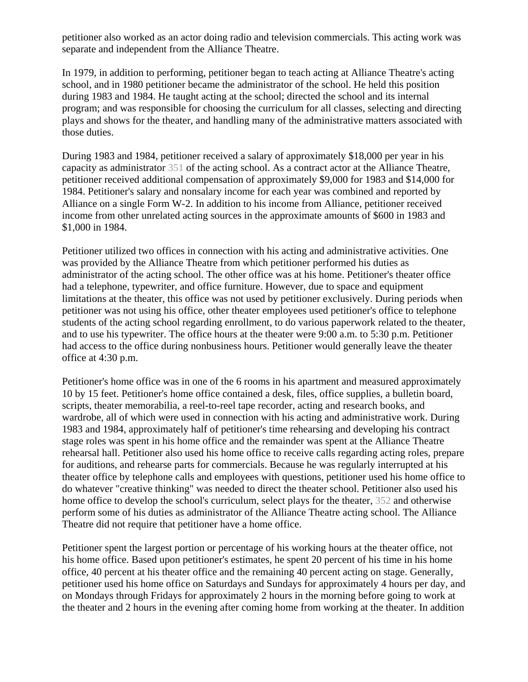petitioner also worked as an actor doing radio and television commercials. This acting work was separate and independent from the Alliance Theatre.

In 1979, in addition to performing, petitioner began to teach acting at Alliance Theatre's acting school, and in 1980 petitioner became the administrator of the school. He held this position during 1983 and 1984. He taught acting at the school; directed the school and its internal program; and was responsible for choosing the curriculum for all classes, selecting and directing plays and shows for the theater, and handling many of the administrative matters associated with those duties.

During 1983 and 1984, petitioner received a salary of approximately \$18,000 per year in his capacity as administrator 351 of the acting school. As a contract actor at the Alliance Theatre, petitioner received additional compensation of approximately \$9,000 for 1983 and \$14,000 for 1984. Petitioner's salary and nonsalary income for each year was combined and reported by Alliance on a single Form W-2. In addition to his income from Alliance, petitioner received income from other unrelated acting sources in the approximate amounts of \$600 in 1983 and \$1,000 in 1984.

Petitioner utilized two offices in connection with his acting and administrative activities. One was provided by the Alliance Theatre from which petitioner performed his duties as administrator of the acting school. The other office was at his home. Petitioner's theater office had a telephone, typewriter, and office furniture. However, due to space and equipment limitations at the theater, this office was not used by petitioner exclusively. During periods when petitioner was not using his office, other theater employees used petitioner's office to telephone students of the acting school regarding enrollment, to do various paperwork related to the theater, and to use his typewriter. The office hours at the theater were 9:00 a.m. to 5:30 p.m. Petitioner had access to the office during nonbusiness hours. Petitioner would generally leave the theater office at 4:30 p.m.

Petitioner's home office was in one of the 6 rooms in his apartment and measured approximately 10 by 15 feet. Petitioner's home office contained a desk, files, office supplies, a bulletin board, scripts, theater memorabilia, a reel-to-reel tape recorder, acting and research books, and wardrobe, all of which were used in connection with his acting and administrative work. During 1983 and 1984, approximately half of petitioner's time rehearsing and developing his contract stage roles was spent in his home office and the remainder was spent at the Alliance Theatre rehearsal hall. Petitioner also used his home office to receive calls regarding acting roles, prepare for auditions, and rehearse parts for commercials. Because he was regularly interrupted at his theater office by telephone calls and employees with questions, petitioner used his home office to do whatever "creative thinking" was needed to direct the theater school. Petitioner also used his home office to develop the school's curriculum, select plays for the theater, 352 and otherwise perform some of his duties as administrator of the Alliance Theatre acting school. The Alliance Theatre did not require that petitioner have a home office.

Petitioner spent the largest portion or percentage of his working hours at the theater office, not his home office. Based upon petitioner's estimates, he spent 20 percent of his time in his home office, 40 percent at his theater office and the remaining 40 percent acting on stage. Generally, petitioner used his home office on Saturdays and Sundays for approximately 4 hours per day, and on Mondays through Fridays for approximately 2 hours in the morning before going to work at the theater and 2 hours in the evening after coming home from working at the theater. In addition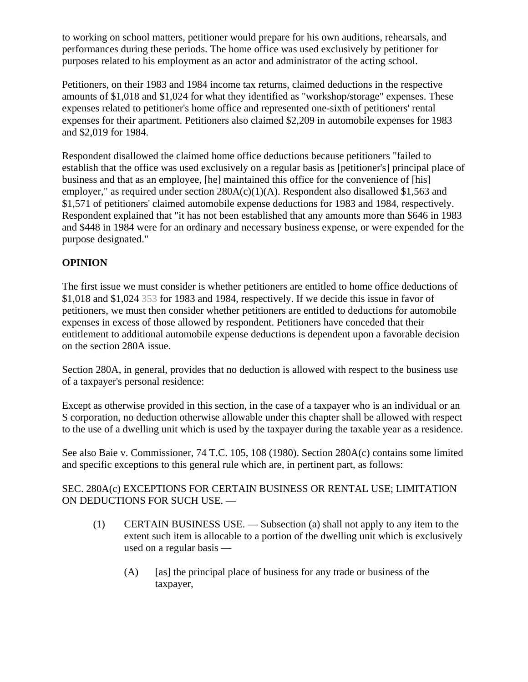to working on school matters, petitioner would prepare for his own auditions, rehearsals, and performances during these periods. The home office was used exclusively by petitioner for purposes related to his employment as an actor and administrator of the acting school.

Petitioners, on their 1983 and 1984 income tax returns, claimed deductions in the respective amounts of \$1,018 and \$1,024 for what they identified as "workshop/storage" expenses. These expenses related to petitioner's home office and represented one-sixth of petitioners' rental expenses for their apartment. Petitioners also claimed \$2,209 in automobile expenses for 1983 and \$2,019 for 1984.

Respondent disallowed the claimed home office deductions because petitioners "failed to establish that the office was used exclusively on a regular basis as [petitioner's] principal place of business and that as an employee, [he] maintained this office for the convenience of [his] employer," as required under section  $280A(c)(1)(A)$ . Respondent also disallowed \$1,563 and \$1,571 of petitioners' claimed automobile expense deductions for 1983 and 1984, respectively. Respondent explained that "it has not been established that any amounts more than \$646 in 1983 and \$448 in 1984 were for an ordinary and necessary business expense, or were expended for the purpose designated."

## **OPINION**

The first issue we must consider is whether petitioners are entitled to home office deductions of \$1,018 and \$1,024 353 for 1983 and 1984, respectively. If we decide this issue in favor of petitioners, we must then consider whether petitioners are entitled to deductions for automobile expenses in excess of those allowed by respondent. Petitioners have conceded that their entitlement to additional automobile expense deductions is dependent upon a favorable decision on the section 280A issue.

Section 280A, in general, provides that no deduction is allowed with respect to the business use of a taxpayer's personal residence:

Except as otherwise provided in this section, in the case of a taxpayer who is an individual or an S corporation, no deduction otherwise allowable under this chapter shall be allowed with respect to the use of a dwelling unit which is used by the taxpayer during the taxable year as a residence.

See also Baie v. Commissioner, 74 T.C. 105, 108 (1980). Section 280A(c) contains some limited and specific exceptions to this general rule which are, in pertinent part, as follows:

## SEC. 280A(c) EXCEPTIONS FOR CERTAIN BUSINESS OR RENTAL USE; LIMITATION ON DEDUCTIONS FOR SUCH USE. —

- (1) CERTAIN BUSINESS USE. Subsection (a) shall not apply to any item to the extent such item is allocable to a portion of the dwelling unit which is exclusively used on a regular basis —
	- (A) [as] the principal place of business for any trade or business of the taxpayer,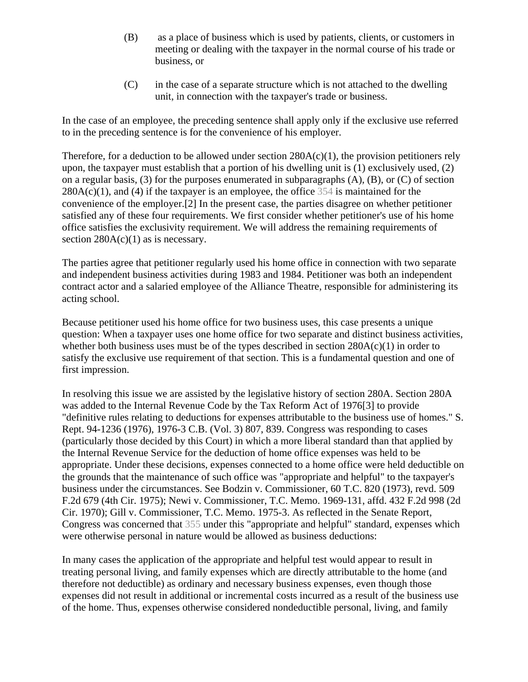- (B) as a place of business which is used by patients, clients, or customers in meeting or dealing with the taxpayer in the normal course of his trade or business, or
- (C) in the case of a separate structure which is not attached to the dwelling unit, in connection with the taxpayer's trade or business.

In the case of an employee, the preceding sentence shall apply only if the exclusive use referred to in the preceding sentence is for the convenience of his employer.

Therefore, for a deduction to be allowed under section  $280A(c)(1)$ , the provision petitioners rely upon, the taxpayer must establish that a portion of his dwelling unit is (1) exclusively used, (2) on a regular basis, (3) for the purposes enumerated in subparagraphs (A), (B), or (C) of section  $280A(c)(1)$ , and (4) if the taxpayer is an employee, the office 354 is maintained for the convenience of the employer.[2] In the present case, the parties disagree on whether petitioner satisfied any of these four requirements. We first consider whether petitioner's use of his home office satisfies the exclusivity requirement. We will address the remaining requirements of section  $280A(c)(1)$  as is necessary.

The parties agree that petitioner regularly used his home office in connection with two separate and independent business activities during 1983 and 1984. Petitioner was both an independent contract actor and a salaried employee of the Alliance Theatre, responsible for administering its acting school.

Because petitioner used his home office for two business uses, this case presents a unique question: When a taxpayer uses one home office for two separate and distinct business activities, whether both business uses must be of the types described in section  $280A(c)(1)$  in order to satisfy the exclusive use requirement of that section. This is a fundamental question and one of first impression.

In resolving this issue we are assisted by the legislative history of section 280A. Section 280A was added to the Internal Revenue Code by the Tax Reform Act of 1976[3] to provide "definitive rules relating to deductions for expenses attributable to the business use of homes." S. Rept. 94-1236 (1976), 1976-3 C.B. (Vol. 3) 807, 839. Congress was responding to cases (particularly those decided by this Court) in which a more liberal standard than that applied by the Internal Revenue Service for the deduction of home office expenses was held to be appropriate. Under these decisions, expenses connected to a home office were held deductible on the grounds that the maintenance of such office was "appropriate and helpful" to the taxpayer's business under the circumstances. See Bodzin v. Commissioner, 60 T.C. 820 (1973), revd. 509 F.2d 679 (4th Cir. 1975); Newi v. Commissioner, T.C. Memo. 1969-131, affd. 432 F.2d 998 (2d Cir. 1970); Gill v. Commissioner, T.C. Memo. 1975-3. As reflected in the Senate Report, Congress was concerned that 355 under this "appropriate and helpful" standard, expenses which were otherwise personal in nature would be allowed as business deductions:

In many cases the application of the appropriate and helpful test would appear to result in treating personal living, and family expenses which are directly attributable to the home (and therefore not deductible) as ordinary and necessary business expenses, even though those expenses did not result in additional or incremental costs incurred as a result of the business use of the home. Thus, expenses otherwise considered nondeductible personal, living, and family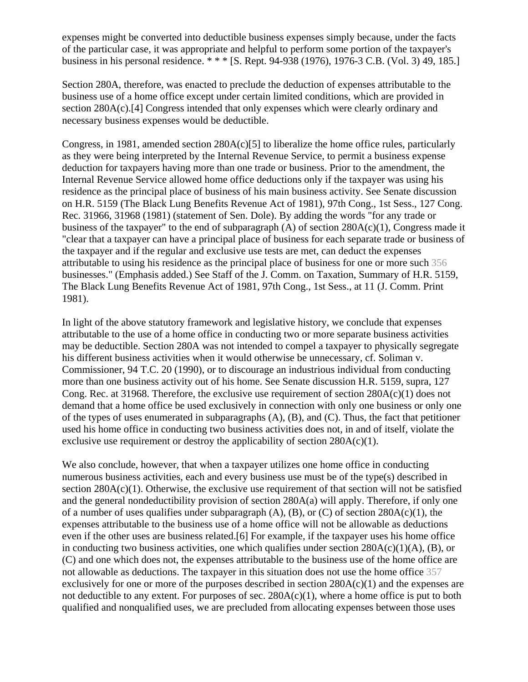expenses might be converted into deductible business expenses simply because, under the facts of the particular case, it was appropriate and helpful to perform some portion of the taxpayer's business in his personal residence. \* \* \* [S. Rept. 94-938 (1976), 1976-3 C.B. (Vol. 3) 49, 185.]

Section 280A, therefore, was enacted to preclude the deduction of expenses attributable to the business use of a home office except under certain limited conditions, which are provided in section 280A(c).[4] Congress intended that only expenses which were clearly ordinary and necessary business expenses would be deductible.

Congress, in 1981, amended section  $280A(c)[5]$  to liberalize the home office rules, particularly as they were being interpreted by the Internal Revenue Service, to permit a business expense deduction for taxpayers having more than one trade or business. Prior to the amendment, the Internal Revenue Service allowed home office deductions only if the taxpayer was using his residence as the principal place of business of his main business activity. See Senate discussion on H.R. 5159 (The Black Lung Benefits Revenue Act of 1981), 97th Cong., 1st Sess., 127 Cong. Rec. 31966, 31968 (1981) (statement of Sen. Dole). By adding the words "for any trade or business of the taxpayer" to the end of subparagraph (A) of section 280A(c)(1), Congress made it "clear that a taxpayer can have a principal place of business for each separate trade or business of the taxpayer and if the regular and exclusive use tests are met, can deduct the expenses attributable to using his residence as the principal place of business for one or more such 356 businesses." (Emphasis added.) See Staff of the J. Comm. on Taxation, Summary of H.R. 5159, The Black Lung Benefits Revenue Act of 1981, 97th Cong., 1st Sess., at 11 (J. Comm. Print 1981).

In light of the above statutory framework and legislative history, we conclude that expenses attributable to the use of a home office in conducting two or more separate business activities may be deductible. Section 280A was not intended to compel a taxpayer to physically segregate his different business activities when it would otherwise be unnecessary, cf. Soliman v. Commissioner, 94 T.C. 20 (1990), or to discourage an industrious individual from conducting more than one business activity out of his home. See Senate discussion H.R. 5159, supra, 127 Cong. Rec. at 31968. Therefore, the exclusive use requirement of section 280A(c)(1) does not demand that a home office be used exclusively in connection with only one business or only one of the types of uses enumerated in subparagraphs (A), (B), and (C). Thus, the fact that petitioner used his home office in conducting two business activities does not, in and of itself, violate the exclusive use requirement or destroy the applicability of section  $280A(c)(1)$ .

We also conclude, however, that when a taxpayer utilizes one home office in conducting numerous business activities, each and every business use must be of the type(s) described in section 280A(c)(1). Otherwise, the exclusive use requirement of that section will not be satisfied and the general nondeductibility provision of section 280A(a) will apply. Therefore, if only one of a number of uses qualifies under subparagraph  $(A)$ ,  $(B)$ , or  $(C)$  of section 280A(c)(1), the expenses attributable to the business use of a home office will not be allowable as deductions even if the other uses are business related.[6] For example, if the taxpayer uses his home office in conducting two business activities, one which qualifies under section  $280A(c)(1)(A)$ , (B), or (C) and one which does not, the expenses attributable to the business use of the home office are not allowable as deductions. The taxpayer in this situation does not use the home office 357 exclusively for one or more of the purposes described in section 280A(c)(1) and the expenses are not deductible to any extent. For purposes of sec.  $280A(c)(1)$ , where a home office is put to both qualified and nonqualified uses, we are precluded from allocating expenses between those uses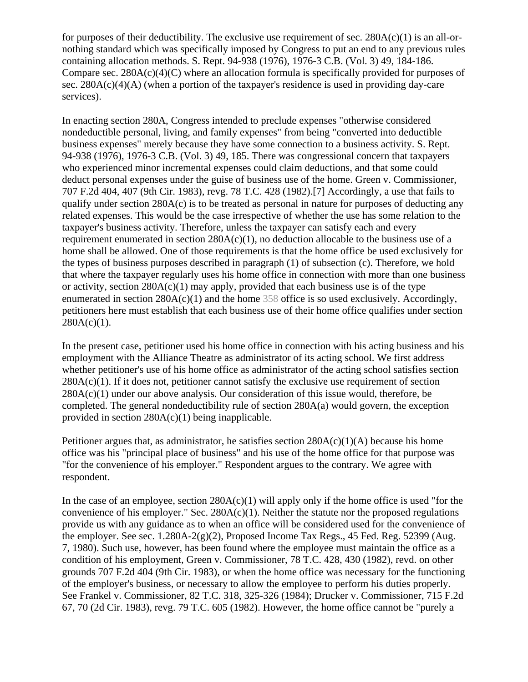for purposes of their deductibility. The exclusive use requirement of sec.  $280A(c)(1)$  is an all-ornothing standard which was specifically imposed by Congress to put an end to any previous rules containing allocation methods. S. Rept. 94-938 (1976), 1976-3 C.B. (Vol. 3) 49, 184-186. Compare sec. 280A(c)(4)(C) where an allocation formula is specifically provided for purposes of sec.  $280A(c)(4)(A)$  (when a portion of the taxpayer's residence is used in providing day-care services).

In enacting section 280A, Congress intended to preclude expenses "otherwise considered nondeductible personal, living, and family expenses" from being "converted into deductible business expenses" merely because they have some connection to a business activity. S. Rept. 94-938 (1976), 1976-3 C.B. (Vol. 3) 49, 185. There was congressional concern that taxpayers who experienced minor incremental expenses could claim deductions, and that some could deduct personal expenses under the guise of business use of the home. Green v. Commissioner, 707 F.2d 404, 407 (9th Cir. 1983), revg. 78 T.C. 428 (1982).[7] Accordingly, a use that fails to qualify under section 280A(c) is to be treated as personal in nature for purposes of deducting any related expenses. This would be the case irrespective of whether the use has some relation to the taxpayer's business activity. Therefore, unless the taxpayer can satisfy each and every requirement enumerated in section  $280A(c)(1)$ , no deduction allocable to the business use of a home shall be allowed. One of those requirements is that the home office be used exclusively for the types of business purposes described in paragraph (1) of subsection (c). Therefore, we hold that where the taxpayer regularly uses his home office in connection with more than one business or activity, section  $280A(c)(1)$  may apply, provided that each business use is of the type enumerated in section  $280A(c)(1)$  and the home 358 office is so used exclusively. Accordingly, petitioners here must establish that each business use of their home office qualifies under section  $280A(c)(1)$ .

In the present case, petitioner used his home office in connection with his acting business and his employment with the Alliance Theatre as administrator of its acting school. We first address whether petitioner's use of his home office as administrator of the acting school satisfies section  $280A(c)(1)$ . If it does not, petitioner cannot satisfy the exclusive use requirement of section  $280A(c)(1)$  under our above analysis. Our consideration of this issue would, therefore, be completed. The general nondeductibility rule of section 280A(a) would govern, the exception provided in section 280A(c)(1) being inapplicable.

Petitioner argues that, as administrator, he satisfies section  $280A(c)(1)(A)$  because his home office was his "principal place of business" and his use of the home office for that purpose was "for the convenience of his employer." Respondent argues to the contrary. We agree with respondent.

In the case of an employee, section  $280A(c)(1)$  will apply only if the home office is used "for the convenience of his employer." Sec.  $280A(c)(1)$ . Neither the statute nor the proposed regulations provide us with any guidance as to when an office will be considered used for the convenience of the employer. See sec.  $1.280A-2(g)(2)$ , Proposed Income Tax Regs., 45 Fed. Reg. 52399 (Aug. 7, 1980). Such use, however, has been found where the employee must maintain the office as a condition of his employment, Green v. Commissioner, 78 T.C. 428, 430 (1982), revd. on other grounds 707 F.2d 404 (9th Cir. 1983), or when the home office was necessary for the functioning of the employer's business, or necessary to allow the employee to perform his duties properly. See Frankel v. Commissioner, 82 T.C. 318, 325-326 (1984); Drucker v. Commissioner, 715 F.2d 67, 70 (2d Cir. 1983), revg. 79 T.C. 605 (1982). However, the home office cannot be "purely a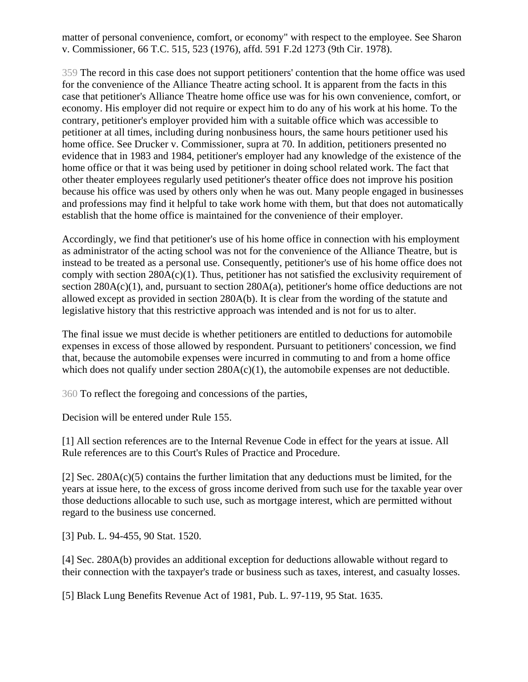matter of personal convenience, comfort, or economy" with respect to the employee. See Sharon v. Commissioner, 66 T.C. 515, 523 (1976), affd. 591 F.2d 1273 (9th Cir. 1978).

359 The record in this case does not support petitioners' contention that the home office was used for the convenience of the Alliance Theatre acting school. It is apparent from the facts in this case that petitioner's Alliance Theatre home office use was for his own convenience, comfort, or economy. His employer did not require or expect him to do any of his work at his home. To the contrary, petitioner's employer provided him with a suitable office which was accessible to petitioner at all times, including during nonbusiness hours, the same hours petitioner used his home office. See Drucker v. Commissioner, supra at 70. In addition, petitioners presented no evidence that in 1983 and 1984, petitioner's employer had any knowledge of the existence of the home office or that it was being used by petitioner in doing school related work. The fact that other theater employees regularly used petitioner's theater office does not improve his position because his office was used by others only when he was out. Many people engaged in businesses and professions may find it helpful to take work home with them, but that does not automatically establish that the home office is maintained for the convenience of their employer.

Accordingly, we find that petitioner's use of his home office in connection with his employment as administrator of the acting school was not for the convenience of the Alliance Theatre, but is instead to be treated as a personal use. Consequently, petitioner's use of his home office does not comply with section 280A(c)(1). Thus, petitioner has not satisfied the exclusivity requirement of section 280A(c)(1), and, pursuant to section 280A(a), petitioner's home office deductions are not allowed except as provided in section 280A(b). It is clear from the wording of the statute and legislative history that this restrictive approach was intended and is not for us to alter.

The final issue we must decide is whether petitioners are entitled to deductions for automobile expenses in excess of those allowed by respondent. Pursuant to petitioners' concession, we find that, because the automobile expenses were incurred in commuting to and from a home office which does not qualify under section  $280A(c)(1)$ , the automobile expenses are not deductible.

360 To reflect the foregoing and concessions of the parties,

Decision will be entered under Rule 155.

[1] All section references are to the Internal Revenue Code in effect for the years at issue. All Rule references are to this Court's Rules of Practice and Procedure.

[2] Sec. 280A(c)(5) contains the further limitation that any deductions must be limited, for the years at issue here, to the excess of gross income derived from such use for the taxable year over those deductions allocable to such use, such as mortgage interest, which are permitted without regard to the business use concerned.

[3] Pub. L. 94-455, 90 Stat. 1520.

[4] Sec. 280A(b) provides an additional exception for deductions allowable without regard to their connection with the taxpayer's trade or business such as taxes, interest, and casualty losses.

[5] Black Lung Benefits Revenue Act of 1981, Pub. L. 97-119, 95 Stat. 1635.